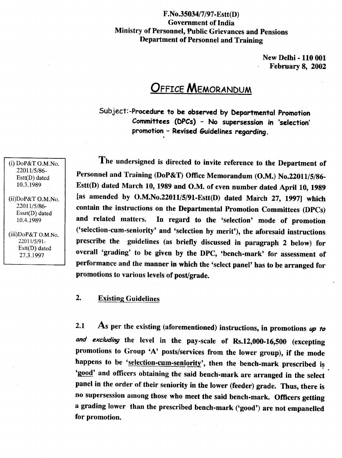### F.No.35034/7/97-Estt(D) Government of India Ministry of Personnel, Public Grievances and Pensions Department of Personnel and Training

New Delhi - 110 001 February 8, 2002

# **OFFICE MEMORANDUM**

Subject:-Procedure to be observed by Departmental Promotion Committees (DPCs) - No supersession in 'selection' promotion - Revised Guidelines regarding . .

The undersigned is directed to invite reference to the Department of Personnel and Training (DoP&T) Office Memorandum (O.M.) No.22011/5/86- Estt(D) dated March 10,1989 and O.M. of even number dated April 10, 1989 [as amended by O.M.No.22011/5/91-Estt(D) dated March 27, 1997] which contain the instructions on the Departmental Promotion Committees (DPCs) and related matters. In regard to the 'selection' mode of promotion ('selection-cum-seniority' and 'selection by merit'), the aforesaid instructions prescribe the guidelines (as briefly discussed in paragraph 2 below) for overall 'grading' to be given by the DPC, 'bench-mark' for assessment of performance and the manner in which the 'select panel' has to be arranged for promotions to various levels of post/grade.

#### $2.$ **Existing Guidelines**

2.1 As per the existing (aforementioned) instructions, in promotions *up to and excluding* the level in the pay-scale of Rs.12,OOO-16,500 (excepting promotions to Group 'A' posts/services from the lower group), if the mode happens to be 'selection-cum-seniority', then the bench-mark prescribed is 'good' and officers obtaining the said bench-mark are arranged in the select panel in the order of their seniority in the lower (feeder) grade. Thus, there is no supersession among those who meet the said bench-mark. Officers getting a grading lower than the prescribed bench-mark ('good') are not empanelled for promotion.

(i) DoP&T O.M.No. 22011/5/86- Estt(D) dated 10.3.1989

(ii)DoP&T O.M.No. 22011/5/86- Esslt(D) dated 10.4.1989

(iii)DoP&T O.M.No. 22011/5/91- Estl(D) dated 27.3.1997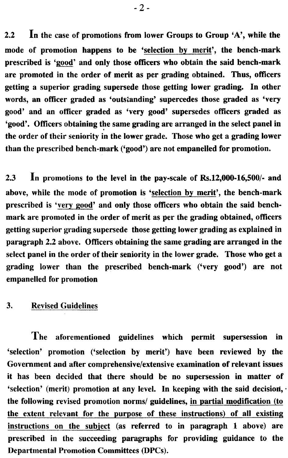2.2 In the case of promotions from lower Groups to Group 'A', while the mode of promotion happens to be 'selection by merit', the bench-mark prescribed is 'good' and only those officers who obtain the said bench-mark are promoted in the order of merit as per grading obtained. Thus, officers getting a superior grading supersede those getting lower grading. In other words, an officer graded as 'outstanding' supercedes those graded as 'very good' and an officer graded as 'very good' supersedes officers graded as 'good'. Officers obtaining the same grading are arranged in the select panel in the order of their seniority in the lower grade. Those who get a grading lower than the prescribed bench-mark ('good') are not empanelled for promotion.

2.3 In promotions to the level in the pay-scale of Rs.12,OOO-16,SOO/- and above, while the mode of promotion is 'selection by merit', the bench-mark prescribed is 'very good' and only those officers who obtain the said benchmark are promoted in the order of merit as per the grading obtained, officers getting superior grading supersede those getting lower grading as explained in paragraph 2.2 above. Officers obtaining the same grading are arranged in the select panel in the order of their seniority in the lower grade. Those who get a grading lower than the prescribed bench-mark ('very good') are not empanelled for promotion

#### **Revised Guidelines** 3.

The aforementioned guidelines which permit supersession in 'selection' promotion ('selection by merit') have been reviewed by the Government and after comprehensive/extensive examination of relevant issues it has been decided that there should be no supersession in matter of 'selection' (merit) promotion at any level. In keeping with the said decision, the following revised promotion norms/ guidelines, in partial modification (to the extent relevant for the purpose of these instructions) of all existing instructions on the subject (as referred to in paragraph 1 above) are prescribed in the succeeding paragraphs for providing guidance to the Departmental Promotion Committees (DPCs).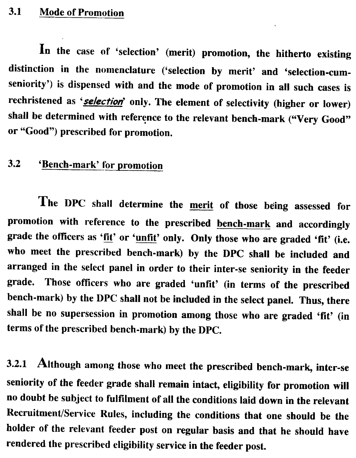#### $3.1$ **Mode of Promotion**

In the case of 'selection' (merit) promotion, the hitherto existing distinction in the nomenclature ('selection by merit' and 'selection-cumseniority') is dispensed with and the mode of promotion in all such cases is rechristened as *'selection'* only. The element of selectivity (higher or lower) shall be determined with reference to the relevant bench-mark ("Very Good" or "Good") prescribed for promotion.

#### $3.2$ 'Bench-mark' for promotion

The DPC shall determine the merit of those being assessed for promotion with reference to the prescribed bench-mark and accordingly grade the officers as 'fit' or 'unfit' only. Only those who are graded 'fit' (i.e. who meet the prescribed bench-mark) by the DPC shall be included and arranged in the select panel in order to their inter-se seniority in the feeder grade. Those oflicers who are graded 'unfit' (in terms of the prescribed bench-mark) by the DPC shall not be included in the select panel. Thus, there shall be no supersession in promotion among those who are graded 'fit' (in terms of the prescribed bench-mark) by the DPC.

3.2.1 Although among those who meet the prescribed bench-mark, inter-se seniority of the feeder grade shall remain intact, eligibility for promotion will no doubt be subject to fulfilment of all the conditions laid down in the relevant Recruitment/Service Rules, including the conditions that one should be the holder of the relevant feeder post on regular basis and that he should have rendered the prescribed eligibility service in the feeder post.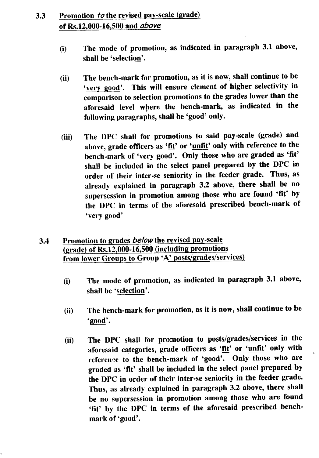## 3.3 Promotion *to* the revised pay-scale (grade) of Rs.12,OOO-16,500 and *above*

- (i) The mode of promotion, as indicated in paragraph 3.1 above, shall be 'selection'.
- (ii) The bench-mark for promotion, as it is now, shall continue to be 'very good'. This will ensure element of higher selectivity in comparison to selection promotions to the grades lower than the aforesaid level where the bench-mark, as indicated in the following paragraphs, shall be 'good' only.
- (iii) The DPC shall for promotions to said pay-scale (grade) and above, grade officers as 'fit' or 'unfit' only with reference to the bench-mark of 'very good'. Only those who are graded as 'fit' shall be included in the select panel prepared by the DPC in order of their inter-se seniority in the feeder grade. Thus, as already explained in paragraph 3.2 above, there shall be no supersession in promotion among those who are found 'fit' by the DPC in terms of the aforesaid prescribed bench-mark of 'very good'
- 3.4 Promotion to grades *belowthe* revised pay-scale (grade) of Rs.12,OOO-16,500 (including promotions from lower Groups to Group 'A' posts/grades/services)
	- (i) The mode of promotion, as indicated in paragraph 3.1 above, shall be 'selection'.
	- (ii) The bench-mark for promotion, as it is now, shall continue to be 'good'.
	- (ii) The DPC shall for promotion to posts/grades/services in the aforesaid categories, grade officers as 'fit' or 'unfit' only with reference to the bench-mark of 'good'. Only those who are graded as 'fit' shall be included in the select panel prepared by the DPC in order of their inter-se seniority in the feeder grade. Thus, as already explained in paragraph 3.2 above, there shall be no supersession in promotion among those who are found 'fit' by the DPC in terms of the aforesaid prescribed benchmark of 'good'.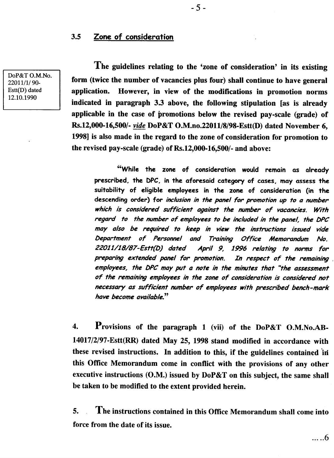### 3.5 Zone of consideration

DoP&T O.M.No. *22011/11 90-* Estt(D) dated 12.10.1990

The guidelines relating to the 'zone of consideration' in its existing form (twice the number of vacancies plus four) shall continue to have general application. However, in view of the modifications in promotion norms indicated in paragraph 3.3 above, the following stipulation [as is already applicable in the case of promotions below the revised pay-scale (grade) of Rs.12,000-16,500/- *vide* DoP&T O.M.no.22011/8/98-Estt(D) dated November 6, 1998] is also made in the regard to the zone of consideration for promotion to the revised pay-scale (grade) of Rs.12,000-16,500/- and above:

"While the zone of consideration would remain as already prescribed. the DPC, in the aforesaid category of cases, may assess the suitability of eligible employees in the zone of consideration (in the descending order) for *inclusionin the panel for promotion up to a number which is considered sufficient against the number of vacancies. With regard to the number of employees to be included in the panel, the DPC may also be required to keep in view the instructions issued vide Department of Personnel and Training Office Memorandum No. 22011/18/87-Estt(D) dated April* 9, 1996 *relating to norms for preparing extended panel for promotion. In respect of the remaining , employees, the DPCmay put a note in the minutes that "the assessment of the remainingemployees in the zone of consideration is considered not necessary as sufficient number of employees with prescribed bench-mark have become available."*

4. Provisions of the paragraph 1 (vii) of the DoP&T O.M.No.AB-14017/2/97-Estt(RR) dated May 25, 1998 stand modified in accordance with these revised instructions. In addition to this, if the guidelines contained 'hi this Office Memorandum come in conflict with the provisions of any other executive instructions  $(0.M.)$  issued by DoP&T on this subject, the same shall be taken to be modified to the extent provided herein.

5. The instructions contained in this Office Memorandum shall come into force from the date of its issue.